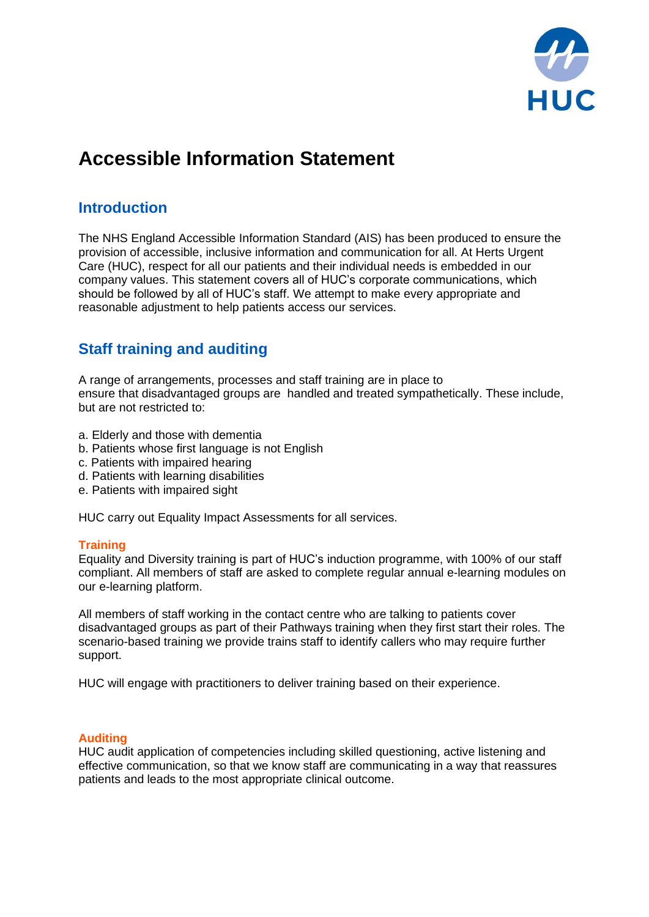

# **Accessible Information Statement**

## **Introduction**

The NHS England Accessible Information Standard (AIS) has been produced to ensure the provision of accessible, inclusive information and communication for all. At Herts Urgent Care (HUC), respect for all our patients and their individual needs is embedded in our company values. This statement covers all of HUC's corporate communications, which should be followed by all of HUC's staff. We attempt to make every appropriate and reasonable adjustment to help patients access our services.

# **Staff training and auditing**

A range of arrangements, processes and staff training are in place to ensure that disadvantaged groups are handled and treated sympathetically. These include, but are not restricted to:

- a. Elderly and those with dementia
- b. Patients whose first language is not English
- c. Patients with impaired hearing
- d. Patients with learning disabilities
- e. Patients with impaired sight

HUC carry out Equality Impact Assessments for all services.

#### **Training**

Equality and Diversity training is part of HUC's induction programme, with 100% of our staff compliant. All members of staff are asked to complete regular annual e-learning modules on our e-learning platform.

All members of staff working in the contact centre who are talking to patients cover disadvantaged groups as part of their Pathways training when they first start their roles. The scenario-based training we provide trains staff to identify callers who may require further support.

HUC will engage with practitioners to deliver training based on their experience.

#### **Auditing**

HUC audit application of competencies including skilled questioning, active listening and effective communication, so that we know staff are communicating in a way that reassures patients and leads to the most appropriate clinical outcome.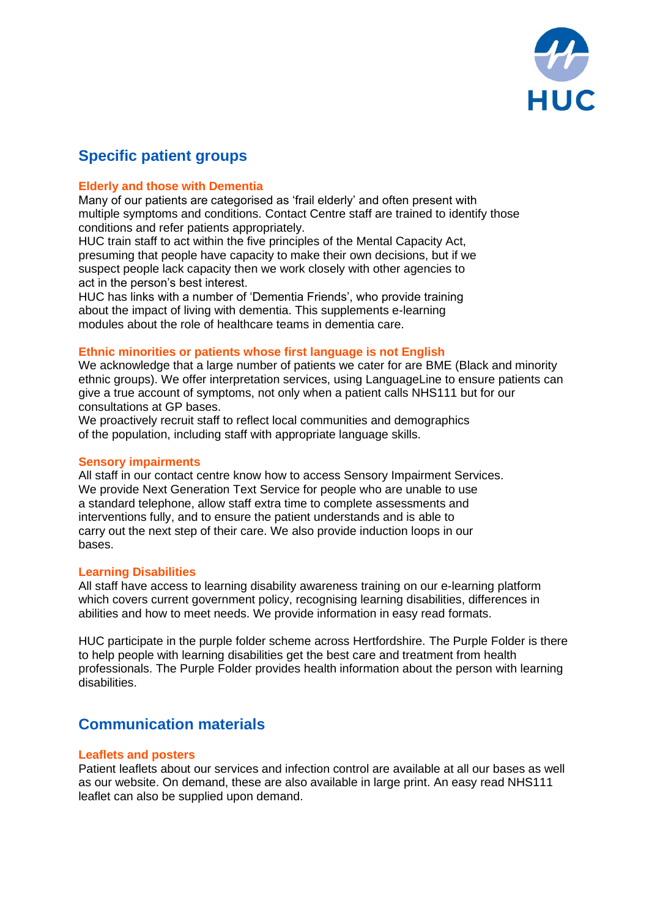

# **Specific patient groups**

#### **Elderly and those with Dementia**

Many of our patients are categorised as 'frail elderly' and often present with multiple symptoms and conditions. Contact Centre staff are trained to identify those conditions and refer patients appropriately.

HUC train staff to act within the five principles of the Mental Capacity Act, presuming that people have capacity to make their own decisions, but if we suspect people lack capacity then we work closely with other agencies to act in the person's best interest.

HUC has links with a number of 'Dementia Friends', who provide training about the impact of living with dementia. This supplements e-learning modules about the role of healthcare teams in dementia care.

#### **Ethnic minorities or patients whose first language is not English**

We acknowledge that a large number of patients we cater for are BME (Black and minority ethnic groups). We offer interpretation services, using LanguageLine to ensure patients can give a true account of symptoms, not only when a patient calls NHS111 but for our consultations at GP bases.

We proactively recruit staff to reflect local communities and demographics of the population, including staff with appropriate language skills.

#### **Sensory impairments**

All staff in our contact centre know how to access Sensory Impairment Services. We provide Next Generation Text Service for people who are unable to use a standard telephone, allow staff extra time to complete assessments and interventions fully, and to ensure the patient understands and is able to carry out the next step of their care. We also provide induction loops in our bases.

#### **Learning Disabilities**

All staff have access to learning disability awareness training on our e-learning platform which covers current government policy, recognising learning disabilities, differences in abilities and how to meet needs. We provide information in easy read formats.

HUC participate in the purple folder scheme across Hertfordshire. The Purple Folder is there to help people with learning disabilities get the best care and treatment from health professionals. The Purple Folder provides health information about the person with learning disabilities.

### **Communication materials**

#### **Leaflets and posters**

Patient leaflets about our services and infection control are available at all our bases as well as our website. On demand, these are also available in large print. An easy read NHS111 leaflet can also be supplied upon demand.